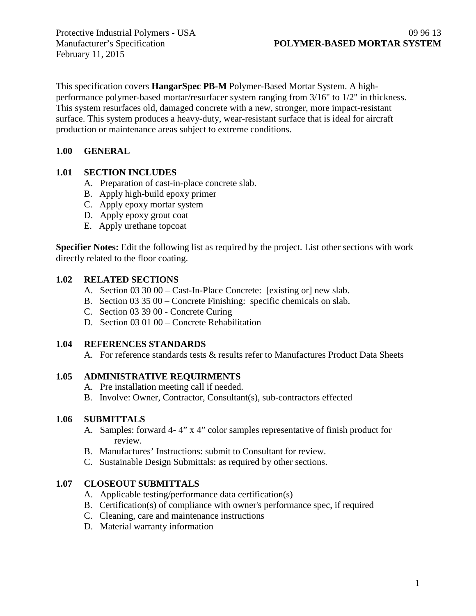February 11, 2015

This specification covers **HangarSpec PB-M** Polymer-Based Mortar System. A highperformance polymer-based mortar/resurfacer system ranging from 3/16" to 1/2" in thickness. This system resurfaces old, damaged concrete with a new, stronger, more impact-resistant surface. This system produces a heavy-duty, wear-resistant surface that is ideal for aircraft production or maintenance areas subject to extreme conditions.

### **1.00 GENERAL**

#### **1.01 SECTION INCLUDES**

- A. Preparation of cast-in-place concrete slab.
- B. Apply high-build epoxy primer
- C. Apply epoxy mortar system
- D. Apply epoxy grout coat
- E. Apply urethane topcoat

**Specifier Notes:** Edit the following list as required by the project. List other sections with work directly related to the floor coating.

#### **1.02 RELATED SECTIONS**

- A. Section 03 30 00 Cast-In-Place Concrete: [existing or] new slab.
- B. Section 03 35 00 Concrete Finishing: specific chemicals on slab.
- C. Section 03 39 00 Concrete Curing
- D. Section 03 01 00 Concrete Rehabilitation

#### **1.04 REFERENCES STANDARDS**

A. For reference standards tests & results refer to Manufactures Product Data Sheets

#### **1.05 ADMINISTRATIVE REQUIRMENTS**

- A. Pre installation meeting call if needed.
- B. Involve: Owner, Contractor, Consultant(s), sub-contractors effected

#### **1.06 SUBMITTALS**

- A. Samples: forward 4- 4" x 4" color samples representative of finish product for review.
- B. Manufactures' Instructions: submit to Consultant for review.
- C. Sustainable Design Submittals: as required by other sections.

### **1.07 CLOSEOUT SUBMITTALS**

- A. Applicable testing/performance data certification(s)
- B. Certification(s) of compliance with owner's performance spec, if required
- C. Cleaning, care and maintenance instructions
- D. Material warranty information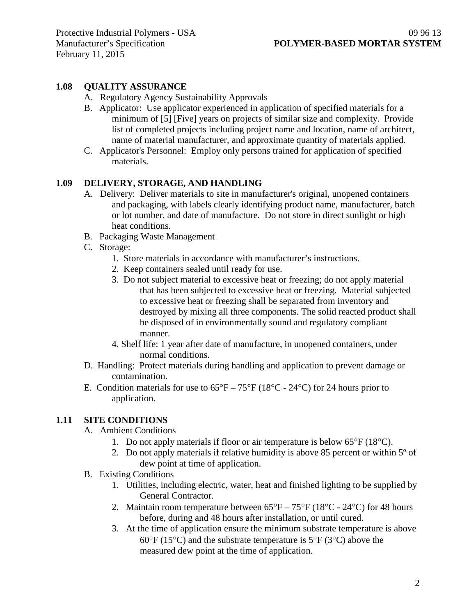### **1.08 QUALITY ASSURANCE**

- A. Regulatory Agency Sustainability Approvals
- B. Applicator: Use applicator experienced in application of specified materials for a minimum of [5] [Five] years on projects of similar size and complexity. Provide list of completed projects including project name and location, name of architect, name of material manufacturer, and approximate quantity of materials applied.
- C. Applicator's Personnel: Employ only persons trained for application of specified materials.

### **1.09 DELIVERY, STORAGE, AND HANDLING**

- A. Delivery: Deliver materials to site in manufacturer's original, unopened containers and packaging, with labels clearly identifying product name, manufacturer, batch or lot number, and date of manufacture. Do not store in direct sunlight or high heat conditions.
- B. Packaging Waste Management
- C. Storage:
	- 1. Store materials in accordance with manufacturer's instructions.
	- 2. Keep containers sealed until ready for use.
	- 3. Do not subject material to excessive heat or freezing; do not apply material that has been subjected to excessive heat or freezing. Material subjected to excessive heat or freezing shall be separated from inventory and destroyed by mixing all three components. The solid reacted product shall be disposed of in environmentally sound and regulatory compliant manner.
	- 4. Shelf life: 1 year after date of manufacture, in unopened containers, under normal conditions.
- D. Handling: Protect materials during handling and application to prevent damage or contamination.
- E. Condition materials for use to  $65^{\circ}F 75^{\circ}F (18^{\circ}C 24^{\circ}C)$  for 24 hours prior to application.

### **1.11 SITE CONDITIONS**

- A. Ambient Conditions
	- 1. Do not apply materials if floor or air temperature is below 65°F (18°C).
	- 2. Do not apply materials if relative humidity is above 85 percent or within 5º of dew point at time of application.
- B. Existing Conditions
	- 1. Utilities, including electric, water, heat and finished lighting to be supplied by General Contractor.
	- 2. Maintain room temperature between  $65^{\circ}F 75^{\circ}F (18^{\circ}C 24^{\circ}C)$  for 48 hours before, during and 48 hours after installation, or until cured.
	- 3. At the time of application ensure the minimum substrate temperature is above 60 $\degree$ F (15 $\degree$ C) and the substrate temperature is 5 $\degree$ F (3 $\degree$ C) above the measured dew point at the time of application.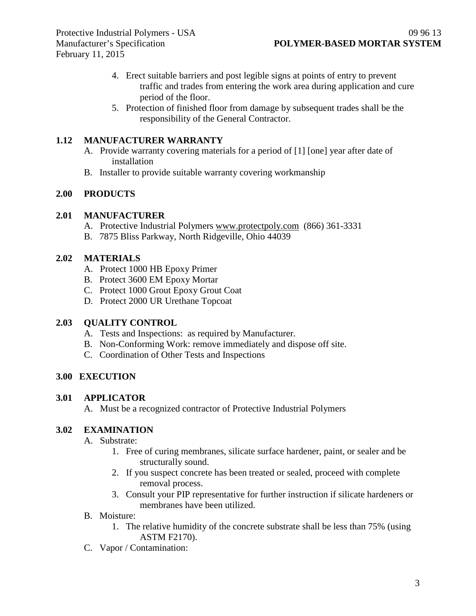- 4. Erect suitable barriers and post legible signs at points of entry to prevent traffic and trades from entering the work area during application and cure period of the floor.
- 5. Protection of finished floor from damage by subsequent trades shall be the responsibility of the General Contractor.

### **1.12 MANUFACTURER WARRANTY**

- A. Provide warranty covering materials for a period of [1] [one] year after date of installation
- B. Installer to provide suitable warranty covering workmanship

### **2.00 PRODUCTS**

### **2.01 MANUFACTURER**

- A. Protective Industrial Polymers [www.protectpoly.com](http://www.protectpoly.com/) (866) 361-3331
- B. 7875 Bliss Parkway, North Ridgeville, Ohio 44039

### **2.02 MATERIALS**

- A. Protect 1000 HB Epoxy Primer
- B. Protect 3600 EM Epoxy Mortar
- C. Protect 1000 Grout Epoxy Grout Coat
- D. Protect 2000 UR Urethane Topcoat

### **2.03 QUALITY CONTROL**

- A. Tests and Inspections: as required by Manufacturer.
- B. Non-Conforming Work: remove immediately and dispose off site.
- C. Coordination of Other Tests and Inspections

## **3.00 EXECUTION**

### **3.01 APPLICATOR**

A. Must be a recognized contractor of Protective Industrial Polymers

## **3.02 EXAMINATION**

- A. Substrate:
	- 1. Free of curing membranes, silicate surface hardener, paint, or sealer and be structurally sound.
	- 2. If you suspect concrete has been treated or sealed, proceed with complete removal process.
	- 3. Consult your PIP representative for further instruction if silicate hardeners or membranes have been utilized.
- B. Moisture:
	- 1. The relative humidity of the concrete substrate shall be less than 75% (using ASTM F2170).
- C. Vapor / Contamination: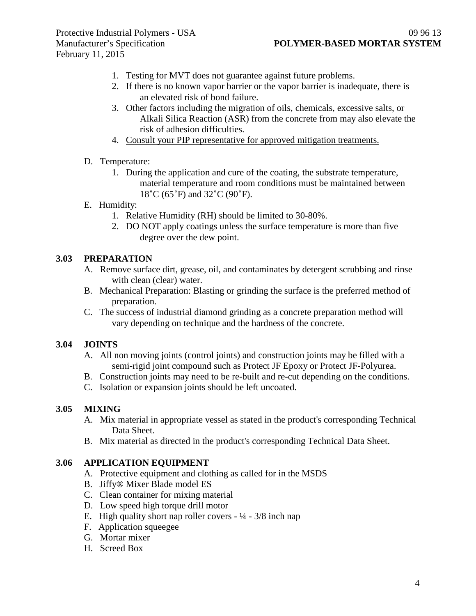- 1. Testing for MVT does not guarantee against future problems.
- 2. If there is no known vapor barrier or the vapor barrier is inadequate, there is an elevated risk of bond failure.
- 3. Other factors including the migration of oils, chemicals, excessive salts, or Alkali Silica Reaction (ASR) from the concrete from may also elevate the risk of adhesion difficulties.
- 4. Consult your PIP representative for approved mitigation treatments.
- D. Temperature:
	- 1. During the application and cure of the coating, the substrate temperature, material temperature and room conditions must be maintained between 18˚C (65˚F) and 32˚C (90˚F).
- E. Humidity:
	- 1. Relative Humidity (RH) should be limited to 30-80%.
	- 2. DO NOT apply coatings unless the surface temperature is more than five degree over the dew point.

### **3.03 PREPARATION**

- A. Remove surface dirt, grease, oil, and contaminates by detergent scrubbing and rinse with clean (clear) water.
- B. Mechanical Preparation: Blasting or grinding the surface is the preferred method of preparation.
- C. The success of industrial diamond grinding as a concrete preparation method will vary depending on technique and the hardness of the concrete.

### **3.04 JOINTS**

- A. All non moving joints (control joints) and construction joints may be filled with a semi-rigid joint compound such as Protect JF Epoxy or Protect JF-Polyurea.
- B. Construction joints may need to be re-built and re-cut depending on the conditions.
- C. Isolation or expansion joints should be left uncoated.

### **3.05 MIXING**

- A. Mix material in appropriate vessel as stated in the product's corresponding Technical Data Sheet.
- B. Mix material as directed in the product's corresponding Technical Data Sheet.

#### **3.06 APPLICATION EQUIPMENT**

- A. Protective equipment and clothing as called for in the MSDS
- B. Jiffy® Mixer Blade model ES
- C. Clean container for mixing material
- D. Low speed high torque drill motor
- E. High quality short nap roller covers  $\frac{1}{4} \frac{3}{8}$  inch nap
- F. Application squeegee
- G. Mortar mixer
- H. Screed Box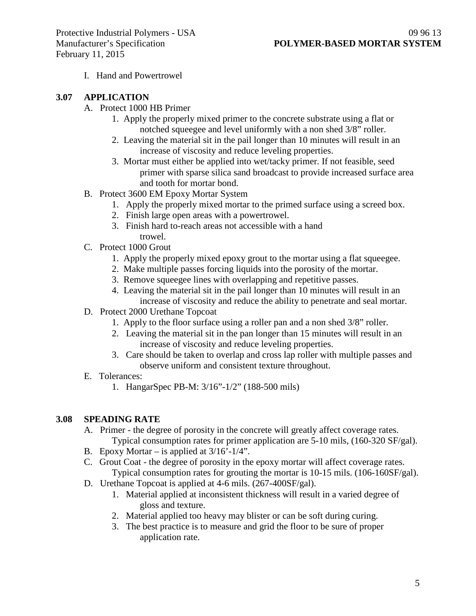I. Hand and Powertrowel

#### **3.07 APPLICATION**

- A. Protect 1000 HB Primer
	- 1. Apply the properly mixed primer to the concrete substrate using a flat or notched squeegee and level uniformly with a non shed 3/8" roller.
	- 2. Leaving the material sit in the pail longer than 10 minutes will result in an increase of viscosity and reduce leveling properties.
	- 3. Mortar must either be applied into wet/tacky primer. If not feasible, seed primer with sparse silica sand broadcast to provide increased surface area and tooth for mortar bond.
- B. Protect 3600 EM Epoxy Mortar System
	- 1. Apply the properly mixed mortar to the primed surface using a screed box.
	- 2. Finish large open areas with a powertrowel.
	- 3. Finish hard to-reach areas not accessible with a hand trowel.
- C. Protect 1000 Grout
	- 1. Apply the properly mixed epoxy grout to the mortar using a flat squeegee.
	- 2. Make multiple passes forcing liquids into the porosity of the mortar.
	- 3. Remove squeegee lines with overlapping and repetitive passes.
	- 4. Leaving the material sit in the pail longer than 10 minutes will result in an increase of viscosity and reduce the ability to penetrate and seal mortar.
- D. Protect 2000 Urethane Topcoat
	- 1. Apply to the floor surface using a roller pan and a non shed 3/8" roller.
	- 2. Leaving the material sit in the pan longer than 15 minutes will result in an increase of viscosity and reduce leveling properties.
	- 3. Care should be taken to overlap and cross lap roller with multiple passes and observe uniform and consistent texture throughout.

### E. Tolerances:

1. HangarSpec PB-M: 3/16"-1/2" (188-500 mils)

### **3.08 SPEADING RATE**

- A. Primer the degree of porosity in the concrete will greatly affect coverage rates. Typical consumption rates for primer application are 5-10 mils, (160-320 SF/gal).
- B. Epoxy Mortar is applied at  $3/16'$ - $1/4$ ".
- C. Grout Coat the degree of porosity in the epoxy mortar will affect coverage rates. Typical consumption rates for grouting the mortar is 10-15 mils. (106-160SF/gal).
- D. Urethane Topcoat is applied at 4-6 mils. (267-400SF/gal).
	- 1. Material applied at inconsistent thickness will result in a varied degree of gloss and texture.
	- 2. Material applied too heavy may blister or can be soft during curing.
	- 3. The best practice is to measure and grid the floor to be sure of proper application rate.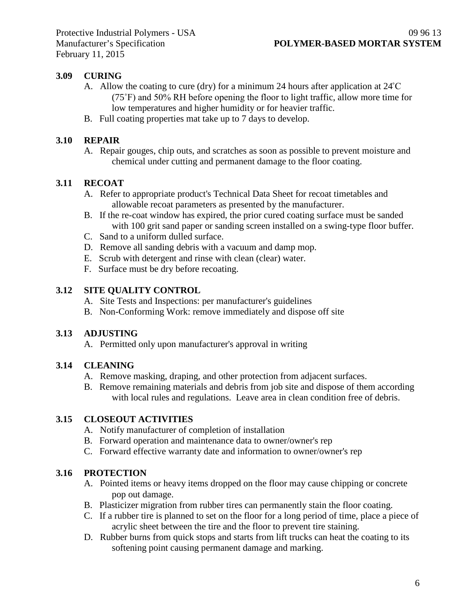## **3.09 CURING**

- A. Allow the coating to cure (dry) for a minimum 24 hours after application at  $24^{\circ}$ C (75˚F) and 50% RH before opening the floor to light traffic, allow more time for low temperatures and higher humidity or for heavier traffic.
- B. Full coating properties mat take up to 7 days to develop.

## **3.10 REPAIR**

A. Repair gouges, chip outs, and scratches as soon as possible to prevent moisture and chemical under cutting and permanent damage to the floor coating.

## **3.11 RECOAT**

- A. Refer to appropriate product's Technical Data Sheet for recoat timetables and allowable recoat parameters as presented by the manufacturer.
- B. If the re-coat window has expired, the prior cured coating surface must be sanded with 100 grit sand paper or sanding screen installed on a swing-type floor buffer.
- C. Sand to a uniform dulled surface.
- D. Remove all sanding debris with a vacuum and damp mop.
- E. Scrub with detergent and rinse with clean (clear) water.
- F. Surface must be dry before recoating.

## **3.12 SITE QUALITY CONTROL**

- A. Site Tests and Inspections: per manufacturer's guidelines
- B. Non-Conforming Work: remove immediately and dispose off site

# **3.13 ADJUSTING**

A. Permitted only upon manufacturer's approval in writing

## **3.14 CLEANING**

- A. Remove masking, draping, and other protection from adjacent surfaces.
- B. Remove remaining materials and debris from job site and dispose of them according with local rules and regulations. Leave area in clean condition free of debris.

## **3.15 CLOSEOUT ACTIVITIES**

- A. Notify manufacturer of completion of installation
- B. Forward operation and maintenance data to owner/owner's rep
- C. Forward effective warranty date and information to owner/owner's rep

# **3.16 PROTECTION**

- A. Pointed items or heavy items dropped on the floor may cause chipping or concrete pop out damage.
- B. Plasticizer migration from rubber tires can permanently stain the floor coating.
- C. If a rubber tire is planned to set on the floor for a long period of time, place a piece of acrylic sheet between the tire and the floor to prevent tire staining.
- D. Rubber burns from quick stops and starts from lift trucks can heat the coating to its softening point causing permanent damage and marking.